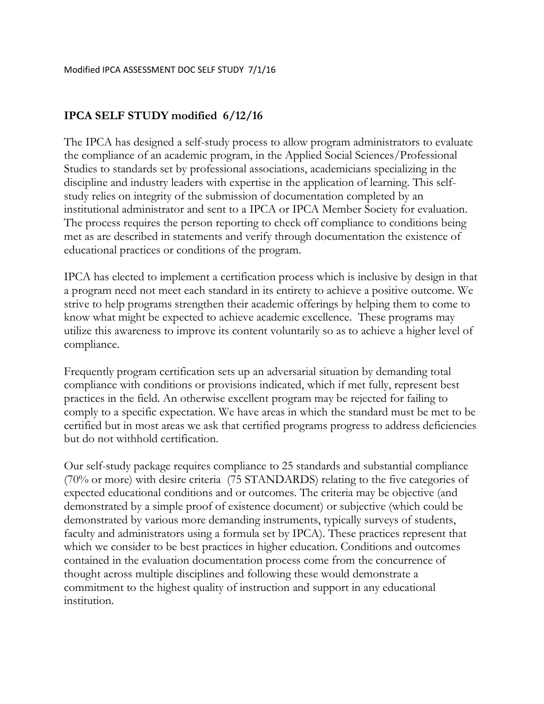### **IPCA SELF STUDY modified 6/12/16**

The IPCA has designed a self-study process to allow program administrators to evaluate the compliance of an academic program, in the Applied Social Sciences/Professional Studies to standards set by professional associations, academicians specializing in the discipline and industry leaders with expertise in the application of learning. This selfstudy relies on integrity of the submission of documentation completed by an institutional administrator and sent to a IPCA or IPCA Member Society for evaluation. The process requires the person reporting to check off compliance to conditions being met as are described in statements and verify through documentation the existence of educational practices or conditions of the program.

IPCA has elected to implement a certification process which is inclusive by design in that a program need not meet each standard in its entirety to achieve a positive outcome. We strive to help programs strengthen their academic offerings by helping them to come to know what might be expected to achieve academic excellence. These programs may utilize this awareness to improve its content voluntarily so as to achieve a higher level of compliance.

Frequently program certification sets up an adversarial situation by demanding total compliance with conditions or provisions indicated, which if met fully, represent best practices in the field. An otherwise excellent program may be rejected for failing to comply to a specific expectation. We have areas in which the standard must be met to be certified but in most areas we ask that certified programs progress to address deficiencies but do not withhold certification.

Our self-study package requires compliance to 25 standards and substantial compliance (70% or more) with desire criteria (75 STANDARDS) relating to the five categories of expected educational conditions and or outcomes. The criteria may be objective (and demonstrated by a simple proof of existence document) or subjective (which could be demonstrated by various more demanding instruments, typically surveys of students, faculty and administrators using a formula set by IPCA). These practices represent that which we consider to be best practices in higher education. Conditions and outcomes contained in the evaluation documentation process come from the concurrence of thought across multiple disciplines and following these would demonstrate a commitment to the highest quality of instruction and support in any educational institution.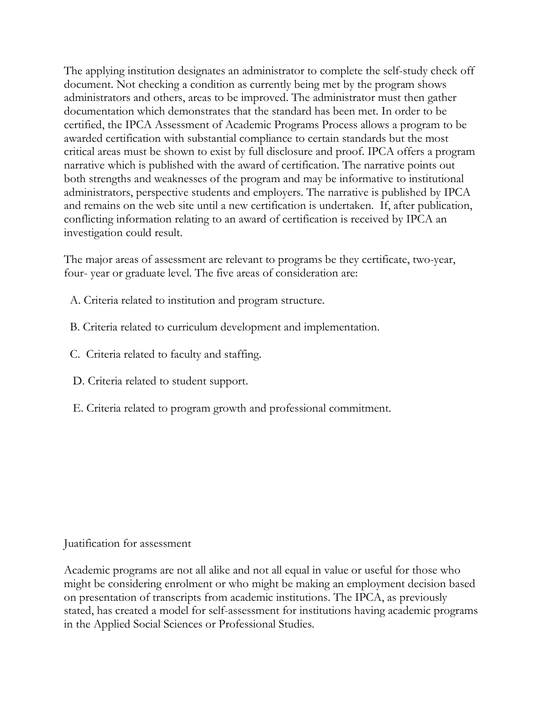The applying institution designates an administrator to complete the self-study check off document. Not checking a condition as currently being met by the program shows administrators and others, areas to be improved. The administrator must then gather documentation which demonstrates that the standard has been met. In order to be certified, the IPCA Assessment of Academic Programs Process allows a program to be awarded certification with substantial compliance to certain standards but the most critical areas must be shown to exist by full disclosure and proof. IPCA offers a program narrative which is published with the award of certification. The narrative points out both strengths and weaknesses of the program and may be informative to institutional administrators, perspective students and employers. The narrative is published by IPCA and remains on the web site until a new certification is undertaken. If, after publication, conflicting information relating to an award of certification is received by IPCA an investigation could result.

The major areas of assessment are relevant to programs be they certificate, two-year, four- year or graduate level. The five areas of consideration are:

- A. Criteria related to institution and program structure.
- B. Criteria related to curriculum development and implementation.
- C. Criteria related to faculty and staffing.
- D. Criteria related to student support.
- E. Criteria related to program growth and professional commitment.

#### Juatification for assessment

Academic programs are not all alike and not all equal in value or useful for those who might be considering enrolment or who might be making an employment decision based on presentation of transcripts from academic institutions. The IPCA, as previously stated, has created a model for self-assessment for institutions having academic programs in the Applied Social Sciences or Professional Studies.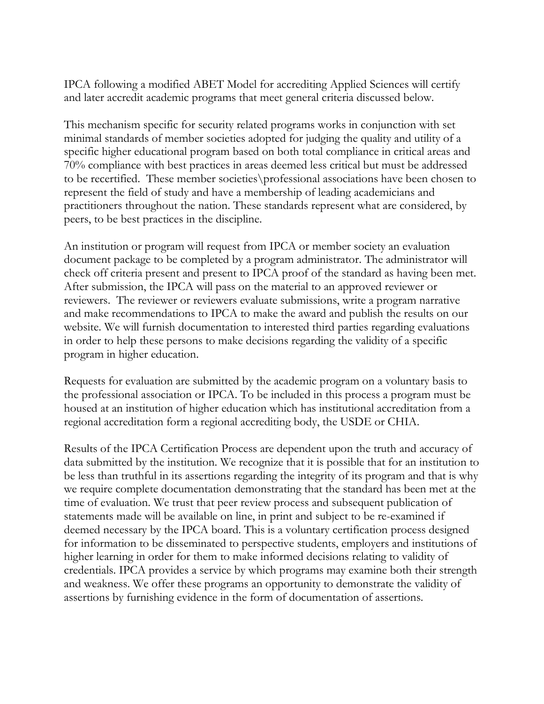IPCA following a modified ABET Model for accrediting Applied Sciences will certify and later accredit academic programs that meet general criteria discussed below.

This mechanism specific for security related programs works in conjunction with set minimal standards of member societies adopted for judging the quality and utility of a specific higher educational program based on both total compliance in critical areas and 70% compliance with best practices in areas deemed less critical but must be addressed to be recertified. These member societies\professional associations have been chosen to represent the field of study and have a membership of leading academicians and practitioners throughout the nation. These standards represent what are considered, by peers, to be best practices in the discipline.

An institution or program will request from IPCA or member society an evaluation document package to be completed by a program administrator. The administrator will check off criteria present and present to IPCA proof of the standard as having been met. After submission, the IPCA will pass on the material to an approved reviewer or reviewers. The reviewer or reviewers evaluate submissions, write a program narrative and make recommendations to IPCA to make the award and publish the results on our website. We will furnish documentation to interested third parties regarding evaluations in order to help these persons to make decisions regarding the validity of a specific program in higher education.

Requests for evaluation are submitted by the academic program on a voluntary basis to the professional association or IPCA. To be included in this process a program must be housed at an institution of higher education which has institutional accreditation from a regional accreditation form a regional accrediting body, the USDE or CHIA.

Results of the IPCA Certification Process are dependent upon the truth and accuracy of data submitted by the institution. We recognize that it is possible that for an institution to be less than truthful in its assertions regarding the integrity of its program and that is why we require complete documentation demonstrating that the standard has been met at the time of evaluation. We trust that peer review process and subsequent publication of statements made will be available on line, in print and subject to be re-examined if deemed necessary by the IPCA board. This is a voluntary certification process designed for information to be disseminated to perspective students, employers and institutions of higher learning in order for them to make informed decisions relating to validity of credentials. IPCA provides a service by which programs may examine both their strength and weakness. We offer these programs an opportunity to demonstrate the validity of assertions by furnishing evidence in the form of documentation of assertions.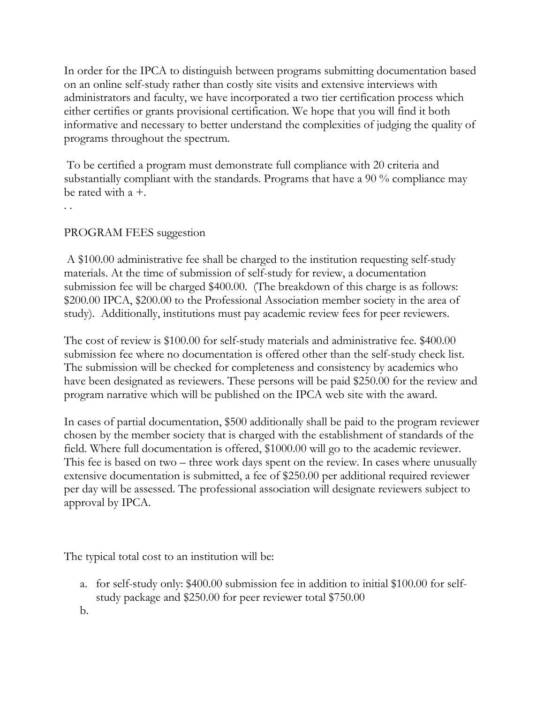In order for the IPCA to distinguish between programs submitting documentation based on an online self-study rather than costly site visits and extensive interviews with administrators and faculty, we have incorporated a two tier certification process which either certifies or grants provisional certification. We hope that you will find it both informative and necessary to better understand the complexities of judging the quality of programs throughout the spectrum.

To be certified a program must demonstrate full compliance with 20 criteria and substantially compliant with the standards. Programs that have a 90 % compliance may be rated with  $a +$ .

. .

### PROGRAM FEES suggestion

A \$100.00 administrative fee shall be charged to the institution requesting self-study materials. At the time of submission of self-study for review, a documentation submission fee will be charged \$400.00. (The breakdown of this charge is as follows: \$200.00 IPCA, \$200.00 to the Professional Association member society in the area of study). Additionally, institutions must pay academic review fees for peer reviewers.

The cost of review is \$100.00 for self-study materials and administrative fee. \$400.00 submission fee where no documentation is offered other than the self-study check list. The submission will be checked for completeness and consistency by academics who have been designated as reviewers. These persons will be paid \$250.00 for the review and program narrative which will be published on the IPCA web site with the award.

In cases of partial documentation, \$500 additionally shall be paid to the program reviewer chosen by the member society that is charged with the establishment of standards of the field. Where full documentation is offered, \$1000.00 will go to the academic reviewer. This fee is based on two – three work days spent on the review. In cases where unusually extensive documentation is submitted, a fee of \$250.00 per additional required reviewer per day will be assessed. The professional association will designate reviewers subject to approval by IPCA.

The typical total cost to an institution will be:

- a. for self-study only: \$400.00 submission fee in addition to initial \$100.00 for selfstudy package and \$250.00 for peer reviewer total \$750.00
- b.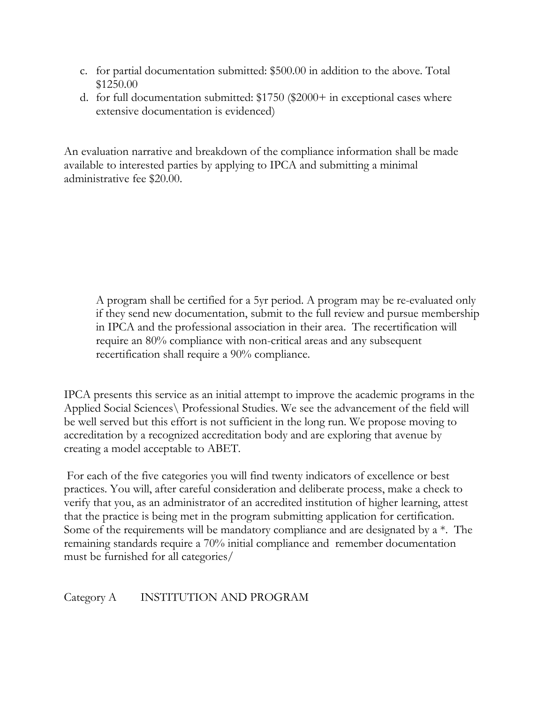- c. for partial documentation submitted: \$500.00 in addition to the above. Total \$1250.00
- d. for full documentation submitted: \$1750 (\$2000+ in exceptional cases where extensive documentation is evidenced)

An evaluation narrative and breakdown of the compliance information shall be made available to interested parties by applying to IPCA and submitting a minimal administrative fee \$20.00.

A program shall be certified for a 5yr period. A program may be re-evaluated only if they send new documentation, submit to the full review and pursue membership in IPCA and the professional association in their area. The recertification will require an 80% compliance with non-critical areas and any subsequent recertification shall require a 90% compliance.

IPCA presents this service as an initial attempt to improve the academic programs in the Applied Social Sciences\ Professional Studies. We see the advancement of the field will be well served but this effort is not sufficient in the long run. We propose moving to accreditation by a recognized accreditation body and are exploring that avenue by creating a model acceptable to ABET.

For each of the five categories you will find twenty indicators of excellence or best practices. You will, after careful consideration and deliberate process, make a check to verify that you, as an administrator of an accredited institution of higher learning, attest that the practice is being met in the program submitting application for certification. Some of the requirements will be mandatory compliance and are designated by  $a^*$ . The remaining standards require a 70% initial compliance and remember documentation must be furnished for all categories/

# Category A INSTITUTION AND PROGRAM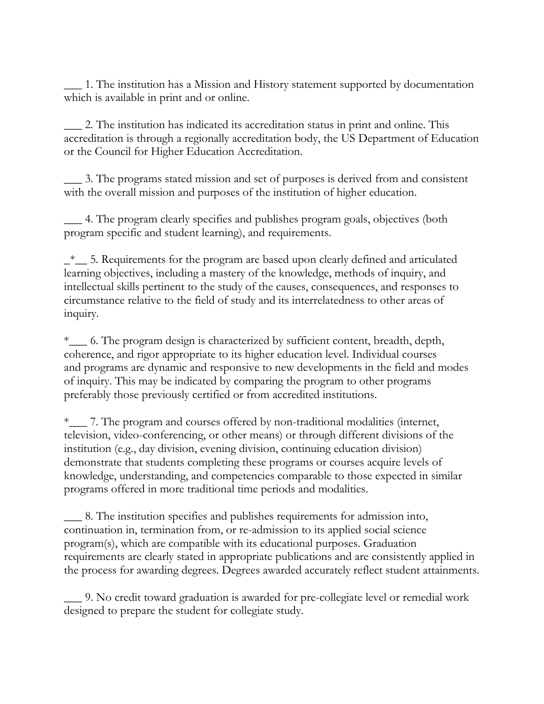\_\_\_ 1. The institution has a Mission and History statement supported by documentation which is available in print and or online.

\_\_\_ 2. The institution has indicated its accreditation status in print and online. This accreditation is through a regionally accreditation body, the US Department of Education or the Council for Higher Education Accreditation.

\_\_\_ 3. The programs stated mission and set of purposes is derived from and consistent with the overall mission and purposes of the institution of higher education.

\_\_\_ 4. The program clearly specifies and publishes program goals, objectives (both program specific and student learning), and requirements.

\_\*\_\_ 5. Requirements for the program are based upon clearly defined and articulated learning objectives, including a mastery of the knowledge, methods of inquiry, and intellectual skills pertinent to the study of the causes, consequences, and responses to circumstance relative to the field of study and its interrelatedness to other areas of inquiry.

\*\_\_\_ 6. The program design is characterized by sufficient content, breadth, depth, coherence, and rigor appropriate to its higher education level. Individual courses and programs are dynamic and responsive to new developments in the field and modes of inquiry. This may be indicated by comparing the program to other programs preferably those previously certified or from accredited institutions.

\*\_\_\_ 7. The program and courses offered by non-traditional modalities (internet, television, video-conferencing, or other means) or through different divisions of the institution (e.g., day division, evening division, continuing education division) demonstrate that students completing these programs or courses acquire levels of knowledge, understanding, and competencies comparable to those expected in similar programs offered in more traditional time periods and modalities.

\_\_\_ 8. The institution specifies and publishes requirements for admission into, continuation in, termination from, or re-admission to its applied social science program(s), which are compatible with its educational purposes. Graduation requirements are clearly stated in appropriate publications and are consistently applied in the process for awarding degrees. Degrees awarded accurately reflect student attainments.

\_\_\_ 9. No credit toward graduation is awarded for pre-collegiate level or remedial work designed to prepare the student for collegiate study.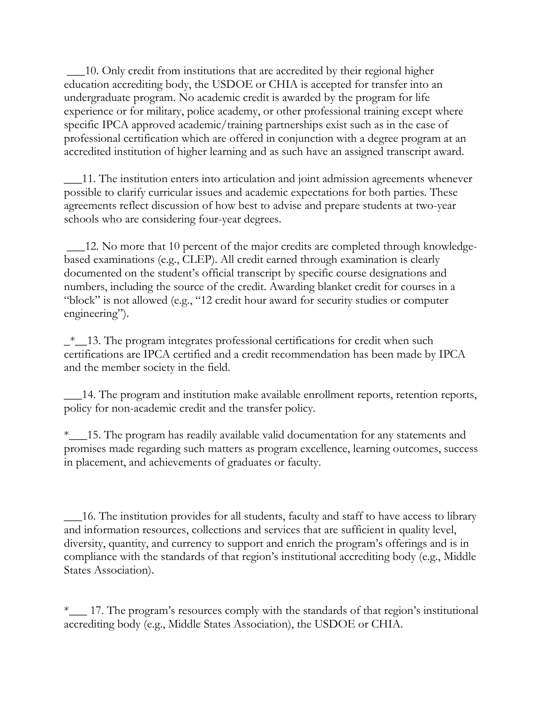\_\_\_10. Only credit from institutions that are accredited by their regional higher education accrediting body, the USDOE or CHIA is accepted for transfer into an undergraduate program. No academic credit is awarded by the program for life experience or for military, police academy, or other professional training except where specific IPCA approved academic/training partnerships exist such as in the case of professional certification which are offered in conjunction with a degree program at an accredited institution of higher learning and as such have an assigned transcript award.

\_\_\_11. The institution enters into articulation and joint admission agreements whenever possible to clarify curricular issues and academic expectations for both parties. These agreements reflect discussion of how best to advise and prepare students at two-year schools who are considering four-year degrees.

\_\_\_12. No more that 10 percent of the major credits are completed through knowledgebased examinations (e.g., CLEP). All credit earned through examination is clearly documented on the student's official transcript by specific course designations and numbers, including the source of the credit. Awarding blanket credit for courses in a "block" is not allowed (e.g., "12 credit hour award for security studies or computer engineering").

 $\frac{1}{2}$  = 13. The program integrates professional certifications for credit when such certifications are IPCA certified and a credit recommendation has been made by IPCA and the member society in the field.

\_\_\_14. The program and institution make available enrollment reports, retention reports, policy for non-academic credit and the transfer policy.

\*\_\_\_15. The program has readily available valid documentation for any statements and promises made regarding such matters as program excellence, learning outcomes, success in placement, and achievements of graduates or faculty.

\_\_\_16. The institution provides for all students, faculty and staff to have access to library and information resources, collections and services that are sufficient in quality level, diversity, quantity, and currency to support and enrich the program's offerings and is in compliance with the standards of that region's institutional accrediting body (e.g., Middle States Association).

\*\_\_\_ 17. The program's resources comply with the standards of that region's institutional accrediting body (e.g., Middle States Association), the USDOE or CHIA.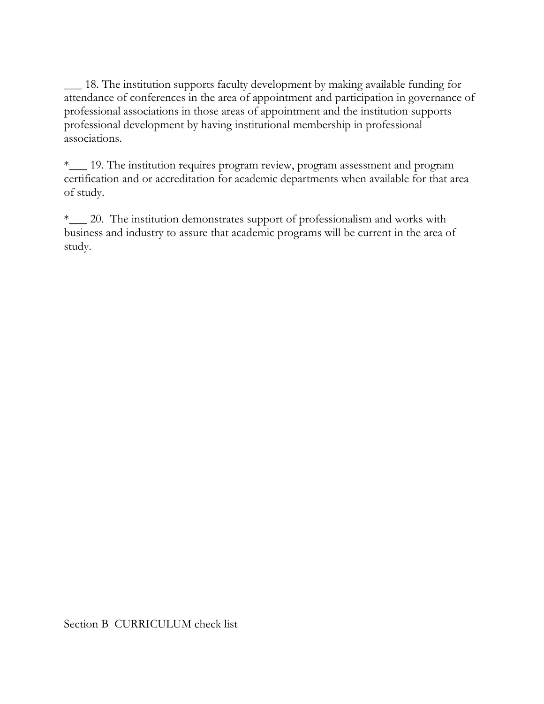\_\_\_ 18. The institution supports faculty development by making available funding for attendance of conferences in the area of appointment and participation in governance of professional associations in those areas of appointment and the institution supports professional development by having institutional membership in professional associations.

\*\_\_\_ 19. The institution requires program review, program assessment and program certification and or accreditation for academic departments when available for that area of study.

\*\_\_\_ 20. The institution demonstrates support of professionalism and works with business and industry to assure that academic programs will be current in the area of study.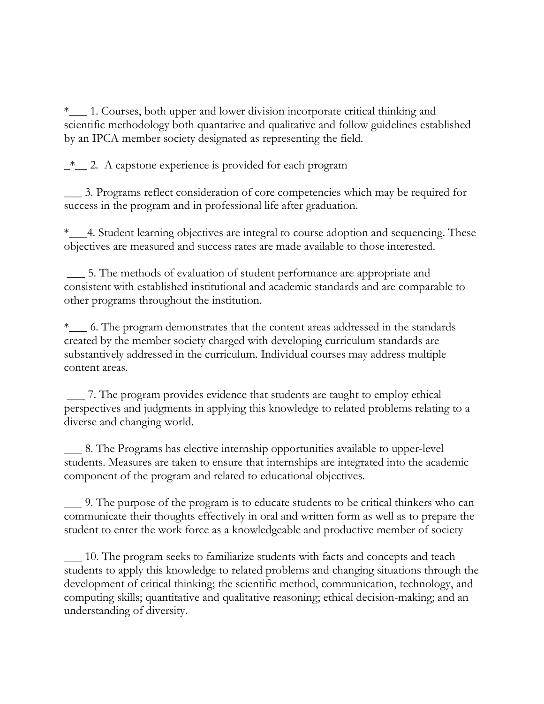\*\_\_\_ 1. Courses, both upper and lower division incorporate critical thinking and scientific methodology both quantative and qualitative and follow guidelines established by an IPCA member society designated as representing the field.

 $\frac{1}{2}$  2. A capstone experience is provided for each program

\_\_\_ 3. Programs reflect consideration of core competencies which may be required for success in the program and in professional life after graduation.

\*\_\_\_4. Student learning objectives are integral to course adoption and sequencing. These objectives are measured and success rates are made available to those interested.

\_\_\_ 5. The methods of evaluation of student performance are appropriate and consistent with established institutional and academic standards and are comparable to other programs throughout the institution.

\*\_\_\_ 6. The program demonstrates that the content areas addressed in the standards created by the member society charged with developing curriculum standards are substantively addressed in the curriculum. Individual courses may address multiple content areas.

\_\_\_ 7. The program provides evidence that students are taught to employ ethical perspectives and judgments in applying this knowledge to related problems relating to a diverse and changing world.

\_\_\_ 8. The Programs has elective internship opportunities available to upper-level students. Measures are taken to ensure that internships are integrated into the academic component of the program and related to educational objectives.

\_\_\_ 9. The purpose of the program is to educate students to be critical thinkers who can communicate their thoughts effectively in oral and written form as well as to prepare the student to enter the work force as a knowledgeable and productive member of society

\_\_\_ 10. The program seeks to familiarize students with facts and concepts and teach students to apply this knowledge to related problems and changing situations through the development of critical thinking; the scientific method, communication, technology, and computing skills; quantitative and qualitative reasoning; ethical decision-making; and an understanding of diversity.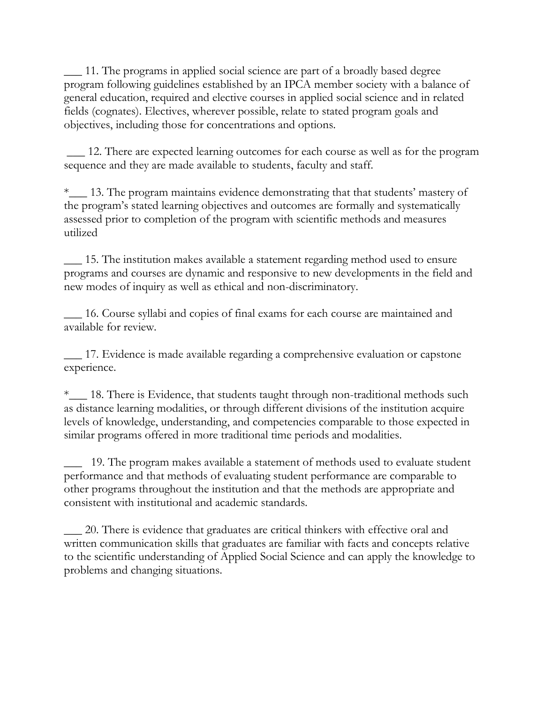\_\_\_ 11. The programs in applied social science are part of a broadly based degree program following guidelines established by an IPCA member society with a balance of general education, required and elective courses in applied social science and in related fields (cognates). Electives, wherever possible, relate to stated program goals and objectives, including those for concentrations and options.

\_\_\_ 12. There are expected learning outcomes for each course as well as for the program sequence and they are made available to students, faculty and staff.

\*\_\_\_ 13. The program maintains evidence demonstrating that that students' mastery of the program's stated learning objectives and outcomes are formally and systematically assessed prior to completion of the program with scientific methods and measures utilized

\_\_\_ 15. The institution makes available a statement regarding method used to ensure programs and courses are dynamic and responsive to new developments in the field and new modes of inquiry as well as ethical and non-discriminatory.

\_\_\_ 16. Course syllabi and copies of final exams for each course are maintained and available for review.

\_\_\_ 17. Evidence is made available regarding a comprehensive evaluation or capstone experience.

\*\_\_\_ 18. There is Evidence, that students taught through non-traditional methods such as distance learning modalities, or through different divisions of the institution acquire levels of knowledge, understanding, and competencies comparable to those expected in similar programs offered in more traditional time periods and modalities.

\_\_\_ 19. The program makes available a statement of methods used to evaluate student performance and that methods of evaluating student performance are comparable to other programs throughout the institution and that the methods are appropriate and consistent with institutional and academic standards.

\_\_\_ 20. There is evidence that graduates are critical thinkers with effective oral and written communication skills that graduates are familiar with facts and concepts relative to the scientific understanding of Applied Social Science and can apply the knowledge to problems and changing situations.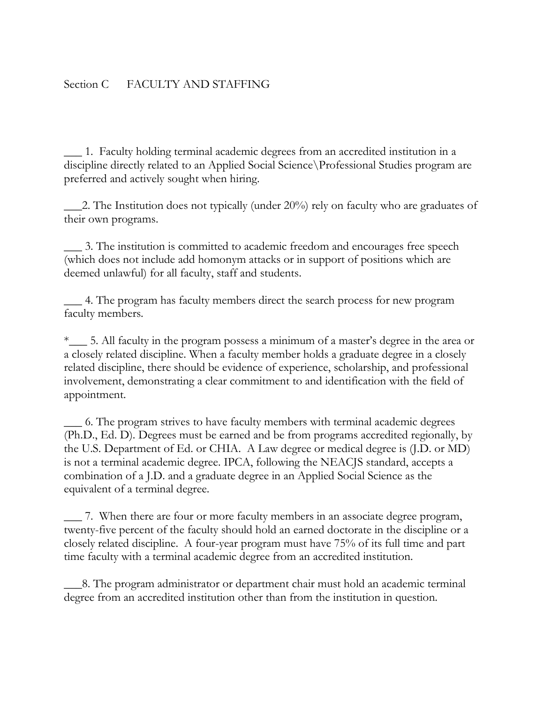### Section C FACULTY AND STAFFING

\_\_\_ 1. Faculty holding terminal academic degrees from an accredited institution in a discipline directly related to an Applied Social Science\Professional Studies program are preferred and actively sought when hiring.

 $\angle$ 2. The Institution does not typically (under 20%) rely on faculty who are graduates of their own programs.

\_\_\_ 3. The institution is committed to academic freedom and encourages free speech (which does not include add homonym attacks or in support of positions which are deemed unlawful) for all faculty, staff and students.

\_\_\_ 4. The program has faculty members direct the search process for new program faculty members.

\*\_\_\_ 5. All faculty in the program possess a minimum of a master's degree in the area or a closely related discipline. When a faculty member holds a graduate degree in a closely related discipline, there should be evidence of experience, scholarship, and professional involvement, demonstrating a clear commitment to and identification with the field of appointment.

\_\_\_ 6. The program strives to have faculty members with terminal academic degrees (Ph.D., Ed. D). Degrees must be earned and be from programs accredited regionally, by the U.S. Department of Ed. or CHIA. A Law degree or medical degree is (J.D. or MD) is not a terminal academic degree. IPCA, following the NEACJS standard, accepts a combination of a J.D. and a graduate degree in an Applied Social Science as the equivalent of a terminal degree.

\_\_\_ 7. When there are four or more faculty members in an associate degree program, twenty-five percent of the faculty should hold an earned doctorate in the discipline or a closely related discipline. A four-year program must have 75% of its full time and part time faculty with a terminal academic degree from an accredited institution.

\_\_\_8. The program administrator or department chair must hold an academic terminal degree from an accredited institution other than from the institution in question.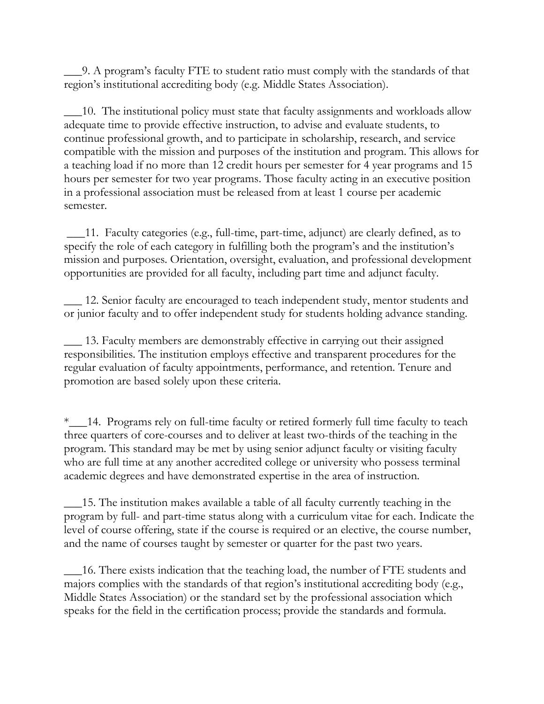\_\_\_9. A program's faculty FTE to student ratio must comply with the standards of that region's institutional accrediting body (e.g. Middle States Association).

\_\_\_10. The institutional policy must state that faculty assignments and workloads allow adequate time to provide effective instruction, to advise and evaluate students, to continue professional growth, and to participate in scholarship, research, and service compatible with the mission and purposes of the institution and program. This allows for a teaching load if no more than 12 credit hours per semester for 4 year programs and 15 hours per semester for two year programs. Those faculty acting in an executive position in a professional association must be released from at least 1 course per academic semester.

\_\_\_11. Faculty categories (e.g., full-time, part-time, adjunct) are clearly defined, as to specify the role of each category in fulfilling both the program's and the institution's mission and purposes. Orientation, oversight, evaluation, and professional development opportunities are provided for all faculty, including part time and adjunct faculty.

\_\_\_ 12. Senior faculty are encouraged to teach independent study, mentor students and or junior faculty and to offer independent study for students holding advance standing.

\_\_\_ 13. Faculty members are demonstrably effective in carrying out their assigned responsibilities. The institution employs effective and transparent procedures for the regular evaluation of faculty appointments, performance, and retention. Tenure and promotion are based solely upon these criteria.

\*\_\_\_14. Programs rely on full-time faculty or retired formerly full time faculty to teach three quarters of core-courses and to deliver at least two-thirds of the teaching in the program. This standard may be met by using senior adjunct faculty or visiting faculty who are full time at any another accredited college or university who possess terminal academic degrees and have demonstrated expertise in the area of instruction.

\_\_\_15. The institution makes available a table of all faculty currently teaching in the program by full- and part-time status along with a curriculum vitae for each. Indicate the level of course offering, state if the course is required or an elective, the course number, and the name of courses taught by semester or quarter for the past two years.

\_\_\_16. There exists indication that the teaching load, the number of FTE students and majors complies with the standards of that region's institutional accrediting body (e.g., Middle States Association) or the standard set by the professional association which speaks for the field in the certification process; provide the standards and formula.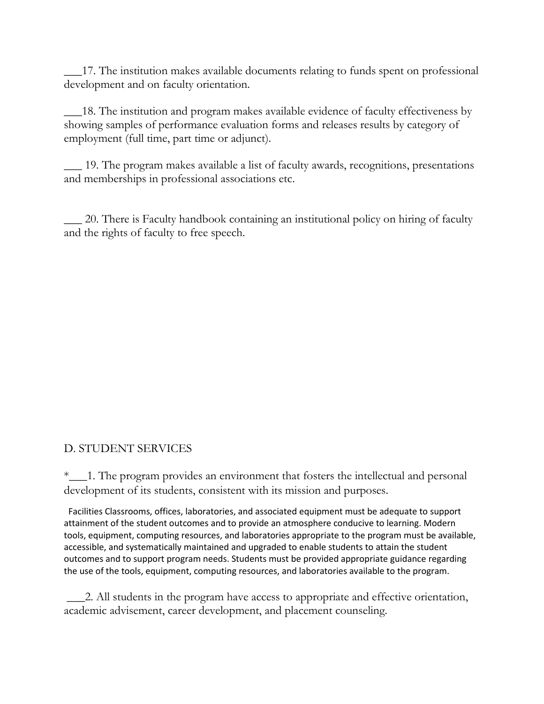\_\_\_17. The institution makes available documents relating to funds spent on professional development and on faculty orientation.

\_\_\_18. The institution and program makes available evidence of faculty effectiveness by showing samples of performance evaluation forms and releases results by category of employment (full time, part time or adjunct).

\_\_\_ 19. The program makes available a list of faculty awards, recognitions, presentations and memberships in professional associations etc.

\_\_\_ 20. There is Faculty handbook containing an institutional policy on hiring of faculty and the rights of faculty to free speech.

# D. STUDENT SERVICES

\*\_\_\_1. The program provides an environment that fosters the intellectual and personal development of its students, consistent with its mission and purposes.

 Facilities Classrooms, offices, laboratories, and associated equipment must be adequate to support attainment of the student outcomes and to provide an atmosphere conducive to learning. Modern tools, equipment, computing resources, and laboratories appropriate to the program must be available, accessible, and systematically maintained and upgraded to enable students to attain the student outcomes and to support program needs. Students must be provided appropriate guidance regarding the use of the tools, equipment, computing resources, and laboratories available to the program.

\_\_\_2. All students in the program have access to appropriate and effective orientation, academic advisement, career development, and placement counseling.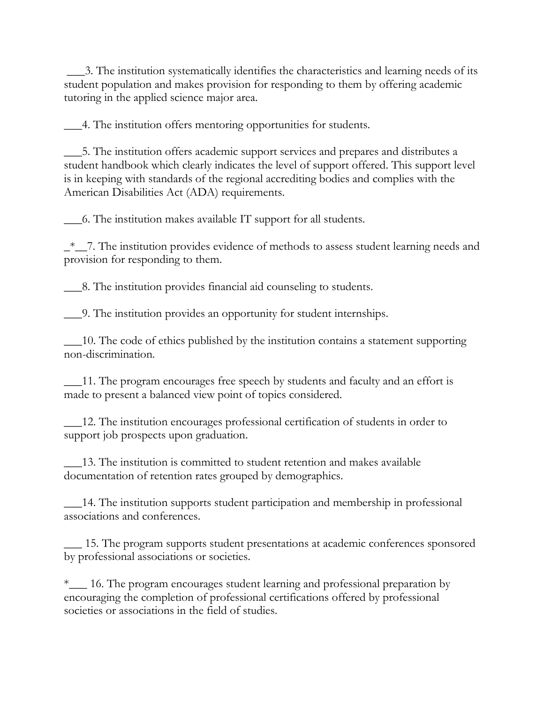\_\_\_3. The institution systematically identifies the characteristics and learning needs of its student population and makes provision for responding to them by offering academic tutoring in the applied science major area.

\_\_\_4. The institution offers mentoring opportunities for students.

\_\_\_5. The institution offers academic support services and prepares and distributes a student handbook which clearly indicates the level of support offered. This support level is in keeping with standards of the regional accrediting bodies and complies with the American Disabilities Act (ADA) requirements.

\_\_\_6. The institution makes available IT support for all students.

 $\frac{1}{2}$ . The institution provides evidence of methods to assess student learning needs and provision for responding to them.

\_\_\_8. The institution provides financial aid counseling to students.

\_\_\_9. The institution provides an opportunity for student internships.

\_\_\_10. The code of ethics published by the institution contains a statement supporting non-discrimination.

\_\_\_11. The program encourages free speech by students and faculty and an effort is made to present a balanced view point of topics considered.

\_\_\_12. The institution encourages professional certification of students in order to support job prospects upon graduation.

\_\_\_13. The institution is committed to student retention and makes available documentation of retention rates grouped by demographics.

\_\_\_14. The institution supports student participation and membership in professional associations and conferences.

\_\_\_ 15. The program supports student presentations at academic conferences sponsored by professional associations or societies.

\*\_\_\_ 16. The program encourages student learning and professional preparation by encouraging the completion of professional certifications offered by professional societies or associations in the field of studies.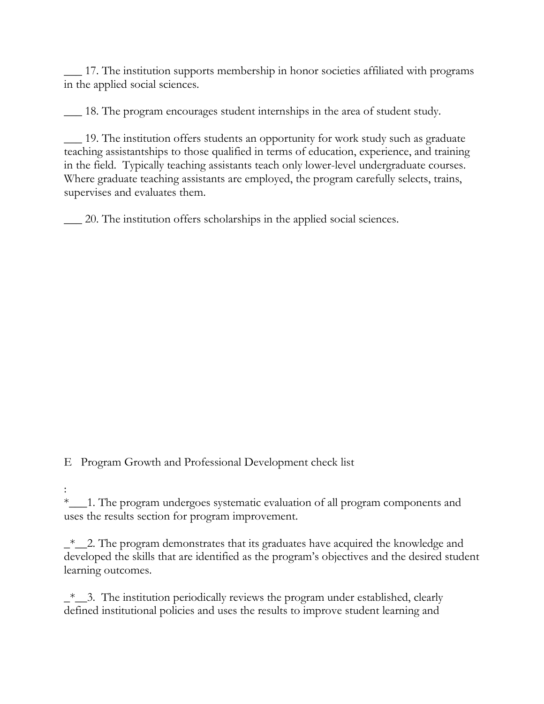\_\_\_ 17. The institution supports membership in honor societies affiliated with programs in the applied social sciences.

\_\_\_ 18. The program encourages student internships in the area of student study.

\_\_\_ 19. The institution offers students an opportunity for work study such as graduate teaching assistantships to those qualified in terms of education, experience, and training in the field. Typically teaching assistants teach only lower-level undergraduate courses. Where graduate teaching assistants are employed, the program carefully selects, trains, supervises and evaluates them.

\_\_\_ 20. The institution offers scholarships in the applied social sciences.

E Program Growth and Professional Development check list

: \*\_\_\_1. The program undergoes systematic evaluation of all program components and uses the results section for program improvement.

 $\overset{*}{\neg}$  2. The program demonstrates that its graduates have acquired the knowledge and developed the skills that are identified as the program's objectives and the desired student learning outcomes.

 $\frac{1}{2}$ . The institution periodically reviews the program under established, clearly defined institutional policies and uses the results to improve student learning and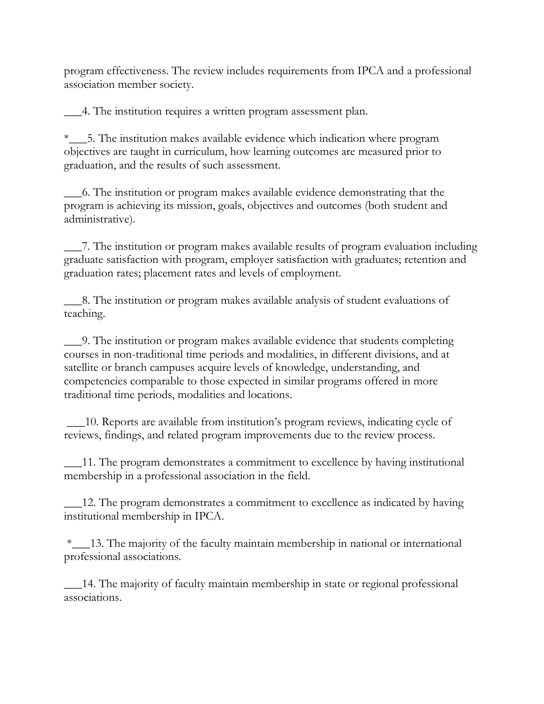program effectiveness. The review includes requirements from IPCA and a professional association member society.

\_\_\_4. The institution requires a written program assessment plan.

\*\_\_\_5. The institution makes available evidence which indication where program objectives are taught in curriculum, how learning outcomes are measured prior to graduation, and the results of such assessment.

\_\_\_6. The institution or program makes available evidence demonstrating that the program is achieving its mission, goals, objectives and outcomes (both student and administrative).

\_\_\_7. The institution or program makes available results of program evaluation including graduate satisfaction with program, employer satisfaction with graduates; retention and graduation rates; placement rates and levels of employment.

\_\_\_8. The institution or program makes available analysis of student evaluations of teaching.

\_\_\_9. The institution or program makes available evidence that students completing courses in non-traditional time periods and modalities, in different divisions, and at satellite or branch campuses acquire levels of knowledge, understanding, and competencies comparable to those expected in similar programs offered in more traditional time periods, modalities and locations.

\_\_\_10. Reports are available from institution's program reviews, indicating cycle of reviews, findings, and related program improvements due to the review process.

\_\_\_11. The program demonstrates a commitment to excellence by having institutional membership in a professional association in the field.

\_\_\_12. The program demonstrates a commitment to excellence as indicated by having institutional membership in IPCA.

\*\_\_\_13. The majority of the faculty maintain membership in national or international professional associations.

\_\_\_14. The majority of faculty maintain membership in state or regional professional associations.